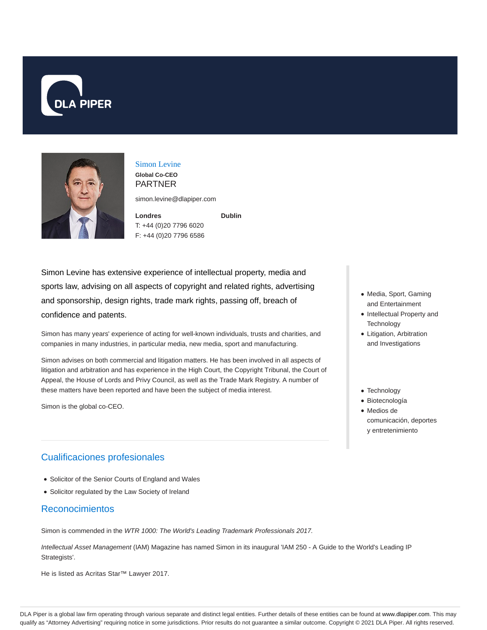



### Simon Levine **Global Co-CEO**

PARTNER

simon.levine@dlapiper.com

**Dublin**

**Londres** T: +44 (0)20 7796 6020 F: +44 (0)20 7796 6586

Simon Levine has extensive experience of intellectual property, media and sports law, advising on all aspects of copyright and related rights, advertising and sponsorship, design rights, trade mark rights, passing off, breach of confidence and patents.

Simon has many years' experience of acting for well-known individuals, trusts and charities, and companies in many industries, in particular media, new media, sport and manufacturing.

Simon advises on both commercial and litigation matters. He has been involved in all aspects of litigation and arbitration and has experience in the High Court, the Copyright Tribunal, the Court of Appeal, the House of Lords and Privy Council, as well as the Trade Mark Registry. A number of these matters have been reported and have been the subject of media interest.

Simon is the global co-CEO.

## Cualificaciones profesionales

- Solicitor of the Senior Courts of England and Wales
- Solicitor regulated by the Law Society of Ireland

## Reconocimientos

Simon is commended in the WTR 1000: The World's Leading Trademark Professionals 2017.

Intellectual Asset Management (IAM) Magazine has named Simon in its inaugural 'IAM 250 - A Guide to the World's Leading IP Strategists'.

He is listed as Acritas Star™ Lawyer 2017.

- Media, Sport, Gaming and Entertainment
- Intellectual Property and **Technology**
- Litigation, Arbitration and Investigations
- Technology
- Biotecnología
- Medios de comunicación, deportes y entretenimiento

DLA Piper is a global law firm operating through various separate and distinct legal entities. Further details of these entities can be found at www.dlapiper.com. This may qualify as "Attorney Advertising" requiring notice in some jurisdictions. Prior results do not guarantee a similar outcome. Copyright © 2021 DLA Piper. All rights reserved.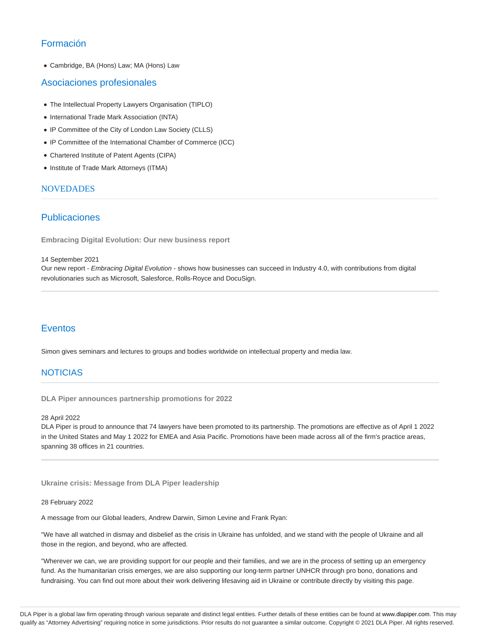# Formación

Cambridge, BA (Hons) Law; MA (Hons) Law

### Asociaciones profesionales

- The Intellectual Property Lawyers Organisation (TIPLO)
- International Trade Mark Association (INTA)
- IP Committee of the City of London Law Society (CLLS)
- IP Committee of the International Chamber of Commerce (ICC)
- Chartered Institute of Patent Agents (CIPA)
- Institute of Trade Mark Attorneys (ITMA)

#### **NOVEDADES**

### Publicaciones

**Embracing Digital Evolution: Our new business report**

#### 14 September 2021

Our new report - Embracing Digital Evolution - shows how businesses can succeed in Industry 4.0, with contributions from digital revolutionaries such as Microsoft, Salesforce, Rolls-Royce and DocuSign.

## Eventos

Simon gives seminars and lectures to groups and bodies worldwide on intellectual property and media law.

## **NOTICIAS**

**DLA Piper announces partnership promotions for 2022**

#### 28 April 2022

DLA Piper is proud to announce that 74 lawyers have been promoted to its partnership. The promotions are effective as of April 1 2022 in the United States and May 1 2022 for EMEA and Asia Pacific. Promotions have been made across all of the firm's practice areas, spanning 38 offices in 21 countries.

**Ukraine crisis: Message from DLA Piper leadership**

#### 28 February 2022

A message from our Global leaders, Andrew Darwin, Simon Levine and Frank Ryan:

"We have all watched in dismay and disbelief as the crisis in Ukraine has unfolded, and we stand with the people of Ukraine and all those in the region, and beyond, who are affected.

"Wherever we can, we are providing support for our people and their families, and we are in the process of setting up an emergency fund. As the humanitarian crisis emerges, we are also supporting our long-term partner UNHCR through pro bono, donations and fundraising. You can find out more about their work delivering lifesaving aid in Ukraine or contribute directly by visiting this page.